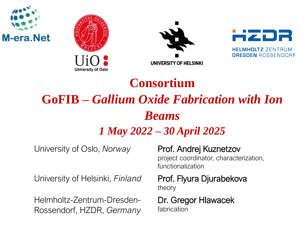







# **Consortium GoFIB –** *Gallium Oxide Fabrication with Ion Beams*

### *1 May 2022 – 30 April 2025*

University of Oslo, *Norway* Prof. Andrej Kuznetzov

University of Helsinki, *Finland* Prof. Flyura Djurabekova

Helmholtz-Zentrum-Dresden-Rossendorf, HZDR, *Germany*

project coordinator, characterization, functionalization

theory

Dr. Gregor Hlawacek fabrication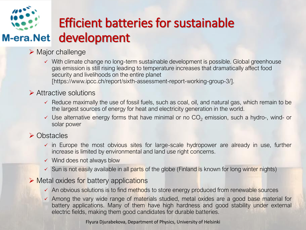

## Efficient batteries for sustainable development

- ➢ Major challenge
	- ✓ With climate change no long-term sustainable development is possible. Global greenhouse gas emission is still rising leading to temperature increases that dramatically affect food security and livelihoods on the entire planet [https://www.ipcc.ch/report/sixth-assessment-report-working-group-3/].

#### ➢ Attractive solutions

- $\checkmark$  Reduce maximally the use of fossil fuels, such as coal, oil, and natural gas, which remain to be the largest sources of energy for heat and electricity generation in the world.
- $\checkmark$  Use alternative energy forms that have minimal or no  $CO<sub>2</sub>$  emission, such a hydro-, wind- or solar power

#### ➢ Obstacles

- $\checkmark$  in Europe the most obvious sites for large-scale hydropower are already in use, further increase is limited by environmental and land use right concerns.
- $\checkmark$  Wind does not always blow
- $\checkmark$  Sun is not easily available in all parts of the globe (Finland is known for long winter nights)

#### $\triangleright$  Metal oxides for battery applications

- ✓ An obvious solutions is to find methods to store energy produced from renewable sources
- $\checkmark$  Among the vary wide range of materials studied, metal oxides are a good base material for battery applications. Many of them have high hardness and good stability under external electric fields, making them good candidates for durable batteries.

Flyura Djurabekova, Department of Physics, University of Helsinki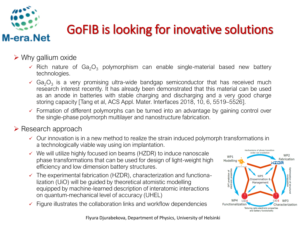

# GoFIB is looking for inovative solutions

#### $\triangleright$  Why gallium oxide

- $\checkmark$  Rich nature of Ga<sub>2</sub>O<sub>3</sub> polymorphism can enable single-material based new battery technologies.
- $\checkmark$  Ga<sub>2</sub>O<sub>3</sub> is a very promising ultra-wide bandgap semiconductor that has received much research interest recently. It has already been demonstrated that this material can be used as an anode in batteries with stable charging and discharging and a very good charge storing capacity [Tang et al, ACS Appl. Mater. Interfaces 2018, 10, 6, 5519–5526].
- $\checkmark$  Formation of different polymorphs can be turned into an advantage by gaining control over the single-phase polymorph multilayer and nanostructure fabrication.

#### ➢ Research approach

- $\checkmark$  Our innovation is in a new method to realize the strain induced polymorph transformations in a technologically viable way using ion implantation.
- $\checkmark$  We will utilize highly focused ion beams (HZDR) to induce nanoscale phase transformations that can be used for design of light-weight high efficiency and low dimension battery structures.
- $\checkmark$  The experimental fabrication (HZDR), characterization and functionalization (UiO) will be guided by theoretical atomistic modelling equipped by machine-learned description of interatomic interactions on quantum-mechanical level of accuracy (UHEL)
- Figure illustrates the collaboration links and workflow dependencies